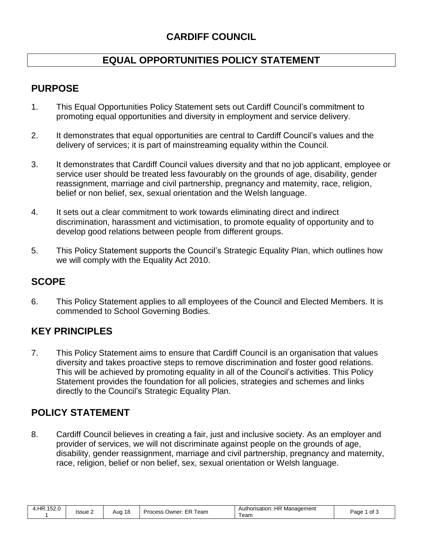# **EQUAL OPPORTUNITIES POLICY STATEMENT**

# **PURPOSE**

- 1. This Equal Opportunities Policy Statement sets out Cardiff Council's commitment to promoting equal opportunities and diversity in employment and service delivery.
- 2. It demonstrates that equal opportunities are central to Cardiff Council's values and the delivery of services; it is part of mainstreaming equality within the Council.
- 3. It demonstrates that Cardiff Council values diversity and that no job applicant, employee or service user should be treated less favourably on the grounds of age, disability, gender reassignment, marriage and civil partnership, pregnancy and maternity, race, religion, belief or non belief, sex, sexual orientation and the Welsh language.
- 4. It sets out a clear commitment to work towards eliminating direct and indirect discrimination, harassment and victimisation, to promote equality of opportunity and to develop good relations between people from different groups.
- 5. This Policy Statement supports the Council's Strategic Equality Plan, which outlines how we will comply with the Equality Act 2010.

# **SCOPE**

6. This Policy Statement applies to all employees of the Council and Elected Members. It is commended to School Governing Bodies.

# **KEY PRINCIPLES**

7. This Policy Statement aims to ensure that Cardiff Council is an organisation that values diversity and takes proactive steps to remove discrimination and foster good relations. This will be achieved by promoting equality in all of the Council's activities. This Policy Statement provides the foundation for all policies, strategies and schemes and links directly to the Council's Strategic Equality Plan.

### **POLICY STATEMENT**

8. Cardiff Council believes in creating a fair, just and inclusive society. As an employer and provider of services, we will not discriminate against people on the grounds of age, disability, gender reassignment, marriage and civil partnership, pregnancy and maternity, race, religion, belief or non belief, sex, sexual orientation or Welsh language.

| 4.HR.152.0 | Issue 2 | 18<br>Aug<br>. . | .、Owner: ER <sup>ㅜ</sup><br><b>Process</b><br>⊺eam | Authorisation: HR Management<br>eam | Page<br>' of ა<br>$\cdot$ |
|------------|---------|------------------|----------------------------------------------------|-------------------------------------|---------------------------|
|------------|---------|------------------|----------------------------------------------------|-------------------------------------|---------------------------|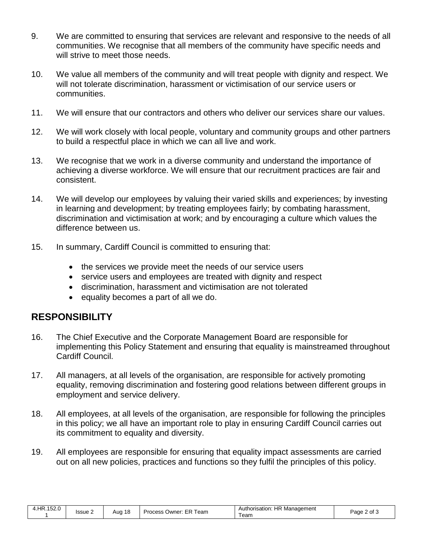- 9. We are committed to ensuring that services are relevant and responsive to the needs of all communities. We recognise that all members of the community have specific needs and will strive to meet those needs.
- 10. We value all members of the community and will treat people with dignity and respect. We will not tolerate discrimination, harassment or victimisation of our service users or communities.
- 11. We will ensure that our contractors and others who deliver our services share our values.
- 12. We will work closely with local people, voluntary and community groups and other partners to build a respectful place in which we can all live and work.
- 13. We recognise that we work in a diverse community and understand the importance of achieving a diverse workforce. We will ensure that our recruitment practices are fair and consistent.
- 14. We will develop our employees by valuing their varied skills and experiences; by investing in learning and development; by treating employees fairly; by combating harassment, discrimination and victimisation at work; and by encouraging a culture which values the difference between us.
- 15. In summary, Cardiff Council is committed to ensuring that:
	- the services we provide meet the needs of our service users
	- service users and employees are treated with dignity and respect
	- discrimination, harassment and victimisation are not tolerated
	- equality becomes a part of all we do.

#### **RESPONSIBILITY**

- 16. The Chief Executive and the Corporate Management Board are responsible for implementing this Policy Statement and ensuring that equality is mainstreamed throughout Cardiff Council.
- 17. All managers, at all levels of the organisation, are responsible for actively promoting equality, removing discrimination and fostering good relations between different groups in employment and service delivery.
- 18. All employees, at all levels of the organisation, are responsible for following the principles in this policy; we all have an important role to play in ensuring Cardiff Council carries out its commitment to equality and diversity.
- 19. All employees are responsible for ensuring that equality impact assessments are carried out on all new policies, practices and functions so they fulfil the principles of this policy.

| 4.HR.152.0 | Aug 18<br>Issue 2 | Process Owner: ER T<br>⊺eam | Authorisation: HR Management<br>Team | Page 2 of 3 |
|------------|-------------------|-----------------------------|--------------------------------------|-------------|
|------------|-------------------|-----------------------------|--------------------------------------|-------------|